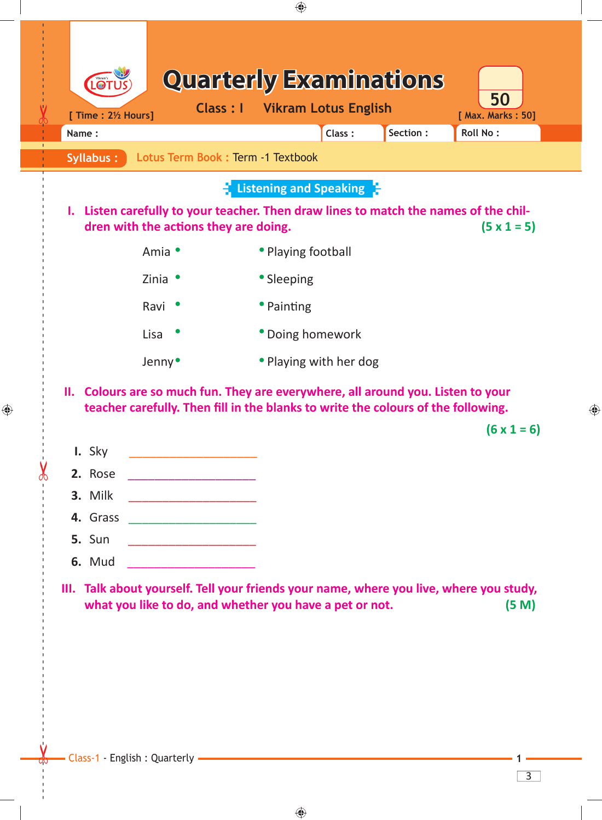| Syllabus:                      |                                                                                                                        | Class:<br>Lotus Term Book: Term -1 Textbook                                             | Roll No:<br>Section: |
|--------------------------------|------------------------------------------------------------------------------------------------------------------------|-----------------------------------------------------------------------------------------|----------------------|
|                                |                                                                                                                        | <b>E</b> Listening and Speaking $\mathbb{F}$                                            |                      |
|                                | dren with the actions they are doing.                                                                                  | I. Listen carefully to your teacher. Then draw lines to match the names of the chil-    | $(5 \times 1 = 5)$   |
|                                | Amia •                                                                                                                 | • Playing football                                                                      |                      |
|                                | Zinia $\bullet$                                                                                                        | • Sleeping                                                                              |                      |
|                                | Ravi                                                                                                                   | • Painting                                                                              |                      |
|                                | Lisa                                                                                                                   | • Doing homework                                                                        |                      |
|                                | Jenny <sup>•</sup>                                                                                                     | • Playing with her dog                                                                  |                      |
| I. Sky                         |                                                                                                                        |                                                                                         |                      |
| 2. Rose<br>3. Milk<br>4. Grass | <u> 1950 - Johann John Harry Harry Harry Harry Harry Harry Harry Harry Harry Harry Harry Harry Harry Harry Harry H</u> |                                                                                         |                      |
| <b>5.</b> Sun                  | <u> 1990 - Jan James Barnett, mars et al. (</u>                                                                        |                                                                                         |                      |
| <b>6.</b> Mud                  |                                                                                                                        | III. Talk about yourself. Tell your friends your name, where you live, where you study, |                      |

 $\bigoplus$ 

 $\bigoplus$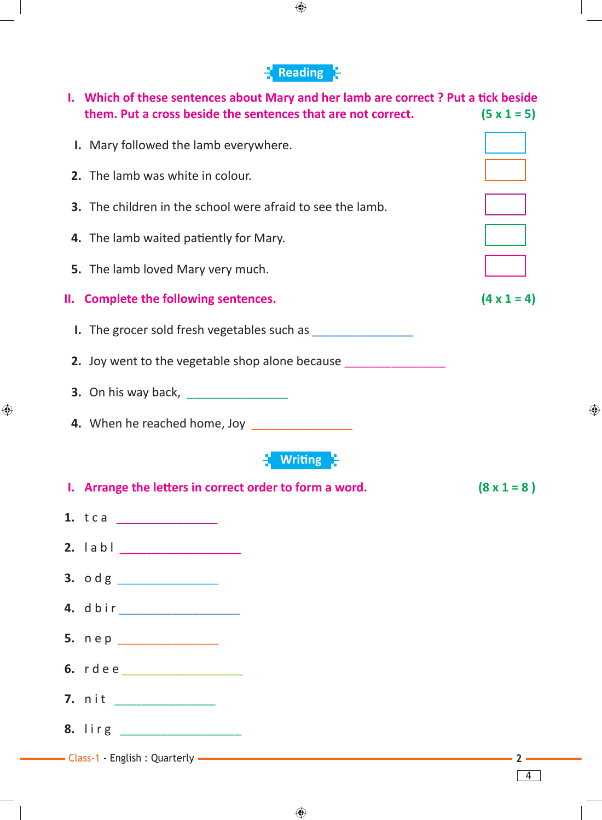## **Reading**

♦

| Which of these sentences about Mary and her lamb are correct? Put a tick beside<br>ı.<br>them. Put a cross beside the sentences that are not correct. | $(5 \times 1 = 5)$ |
|-------------------------------------------------------------------------------------------------------------------------------------------------------|--------------------|
| I. Mary followed the lamb everywhere.                                                                                                                 |                    |
| 2. The lamb was white in colour.                                                                                                                      |                    |
| <b>3.</b> The children in the school were afraid to see the lamb.                                                                                     |                    |
| 4. The lamb waited patiently for Mary.                                                                                                                |                    |
| 5. The lamb loved Mary very much.                                                                                                                     |                    |
| II. Complete the following sentences.                                                                                                                 | $(4 \times 1 = 4)$ |
|                                                                                                                                                       |                    |
| 2. Joy went to the vegetable shop alone because                                                                                                       |                    |
|                                                                                                                                                       |                    |
| 4. When he reached home, Joy ________________                                                                                                         |                    |
| <b>Writing</b>                                                                                                                                        |                    |
| I. Arrange the letters in correct order to form a word.                                                                                               | $(8 \times 1 = 8)$ |
|                                                                                                                                                       |                    |
| 2. labl _________________                                                                                                                             |                    |
|                                                                                                                                                       |                    |
|                                                                                                                                                       |                    |
| 5. nep _______________                                                                                                                                |                    |
| 6. rdee                                                                                                                                               |                    |
| 7. nit ____________                                                                                                                                   |                    |
|                                                                                                                                                       |                    |
| - Class-1 - English : Quarterly - The Class of the Class-1 - English : Quarterly - The Class-1 - English : Quarterly                                  | $\sim$ 2 $-$       |

 $\bigoplus$ 

4

 $\bigoplus$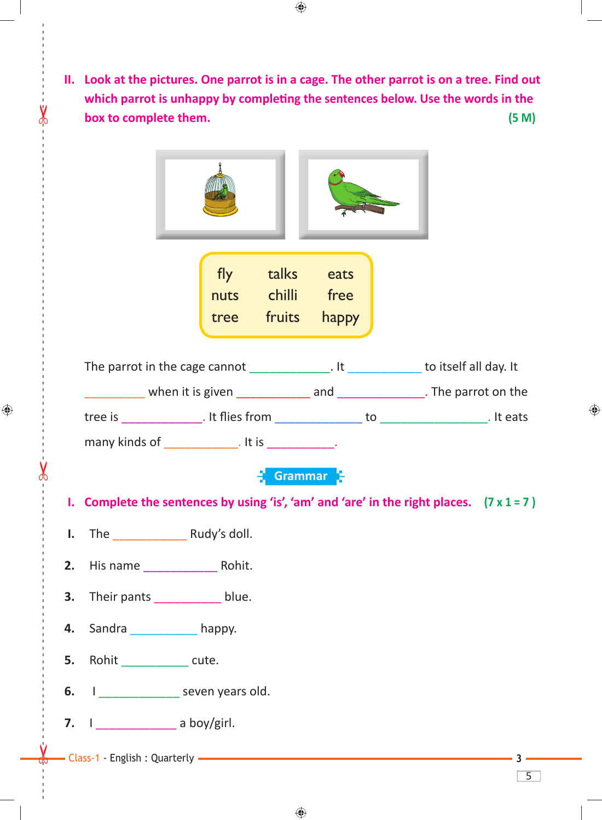**II. Look at the pictures. One parrot is in a cage. The other parrot is on a tree. Find out which parrot is unhappy by completing the sentences below. Use the words in the box to complete them. (5 M)**



tree fruits happy

The parrot in the cage cannot The parrot in the cage cannot  $\qquad \qquad$  . It was to itself all day. It \_\_\_\_\_\_\_\_\_ when it is given \_\_\_\_\_\_\_\_\_\_\_ and \_\_\_\_\_\_\_\_\_\_\_\_\_. The parrot on the tree is \_\_\_\_\_\_\_\_\_\_\_\_. It flies from \_\_\_\_\_\_\_\_\_\_\_\_\_\_\_ to \_\_\_\_\_\_\_\_\_\_\_\_\_\_\_. It eats

many kinds of \_\_\_\_\_\_\_\_\_\_\_\_. It is \_\_\_\_\_\_\_\_\_\_\_.

## **E** Grammar E

 **I. Complete the sentences by using 'is', 'am' and 'are' in the right places. (7 x 1 = 7 )**

 $\bigoplus$ 

5

◈

**I.** The Rudy's doll.

------ - - --------------------------------------- --- -------------------------------------------------- ------------- -- - - ---

⊕

- **2.** His name **Rohit.**
- **3.** Their pants blue.
- **4.** Sandra **happy.**
- **5.** Rohit \_\_\_\_\_\_\_\_\_ cute.
- **6. I** \_\_\_\_\_\_\_\_\_\_\_\_\_\_\_ seven years old.
- **7.** I \_\_\_\_\_\_\_\_\_\_\_\_ a boy/girl.
- Class-1 English : Quarterly **3**